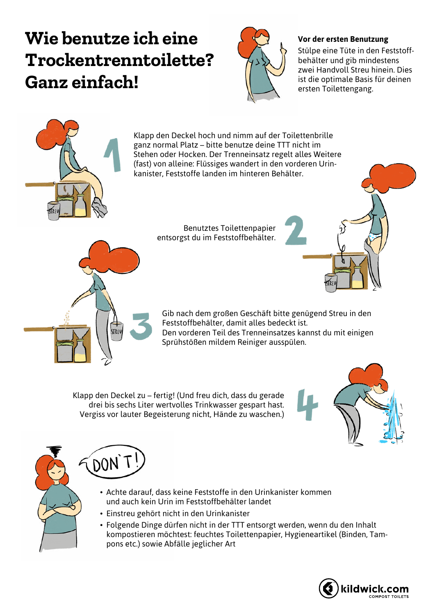## **Wie benutze ich eine Trockentrenntoilette? Ganz einfach!**



## **Vor der ersten Benutzung**

Stülpe eine Tüte in den Feststoffbehälter und gib mindestens zwei Handvoll Streu hinein. Dies ist die optimale Basis für deinen ersten Toilettengang.



Klapp den Deckel hoch und nimm auf der Toilettenbrille ganz normal Platz – bitte benutze deine TTT nicht im Stehen oder Hocken. Der Trenneinsatz regelt alles Weitere (fast) von alleine: Flüssiges wandert in den vorderen Urinkanister, Feststoffe landen im hinteren Behälter.

> Benutztes Toilettenpapier entsorgst du im Feststoffbehälter.

Gib nach dem großen Geschäft bitte genügend Streu in den Feststoffbehälter, damit alles bedeckt ist. Den vorderen Teil des Trenneinsatzes kannst du mit einigen Sprühstößen mildem Reiniger ausspülen.

Klapp den Deckel zu – fertig! (Und freu dich, dass du gerade drei bis sechs Liter wertvolles Trinkwasser gespart hast. Vergiss vor lauter Begeisterung nicht, Hände zu waschen.)





- Achte darauf, dass keine Feststoffe in den Urinkanister kommen und auch kein Urin im Feststoffbehälter landet
- Einstreu gehört nicht in den Urinkanister
- Folgende Dinge dürfen nicht in der TTT entsorgt werden, wenn du den Inhalt kompostieren möchtest: feuchtes Toilettenpapier, Hygieneartikel (Binden, Tampons etc.) sowie Abfälle jeglicher Art